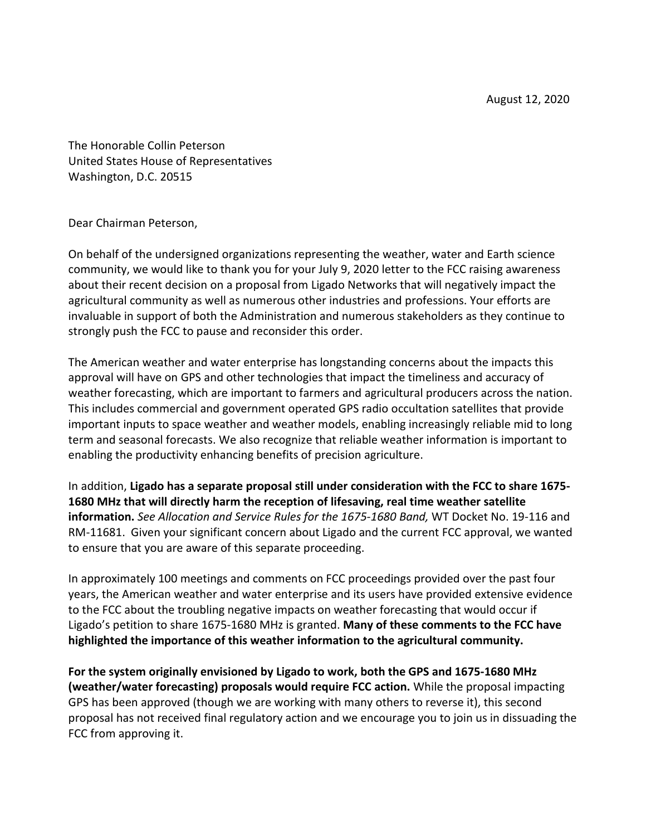The Honorable Collin Peterson United States House of Representatives Washington, D.C. 20515

Dear Chairman Peterson,

On behalf of the undersigned organizations representing the weather, water and Earth science community, we would like to thank you for your July 9, 2020 letter to the FCC raising awareness about their recent decision on a proposal from Ligado Networks that will negatively impact the agricultural community as well as numerous other industries and professions. Your efforts are invaluable in support of both the Administration and numerous stakeholders as they continue to strongly push the FCC to pause and reconsider this order.

The American weather and water enterprise has longstanding concerns about the impacts this approval will have on GPS and other technologies that impact the timeliness and accuracy of weather forecasting, which are important to farmers and agricultural producers across the nation. This includes commercial and government operated GPS radio occultation satellites that provide important inputs to space weather and weather models, enabling increasingly reliable mid to long term and seasonal forecasts. We also recognize that reliable weather information is important to enabling the productivity enhancing benefits of precision agriculture.

In addition, **Ligado has a separate proposal still under consideration with the FCC to share 1675- 1680 MHz that will directly harm the reception of lifesaving, real time weather satellite information.** *See Allocation and Service Rules for the 1675-1680 Band,* WT Docket No. 19-116 and RM-11681. Given your significant concern about Ligado and the current FCC approval, we wanted to ensure that you are aware of this separate proceeding.

In approximately 100 meetings and comments on FCC proceedings provided over the past four years, the American weather and water enterprise and its users have provided extensive evidence to the FCC about the troubling negative impacts on weather forecasting that would occur if Ligado's petition to share 1675-1680 MHz is granted. **Many of these comments to the FCC have highlighted the importance of this weather information to the agricultural community.**

**For the system originally envisioned by Ligado to work, both the GPS and 1675-1680 MHz (weather/water forecasting) proposals would require FCC action.** While the proposal impacting GPS has been approved (though we are working with many others to reverse it), this second proposal has not received final regulatory action and we encourage you to join us in dissuading the FCC from approving it.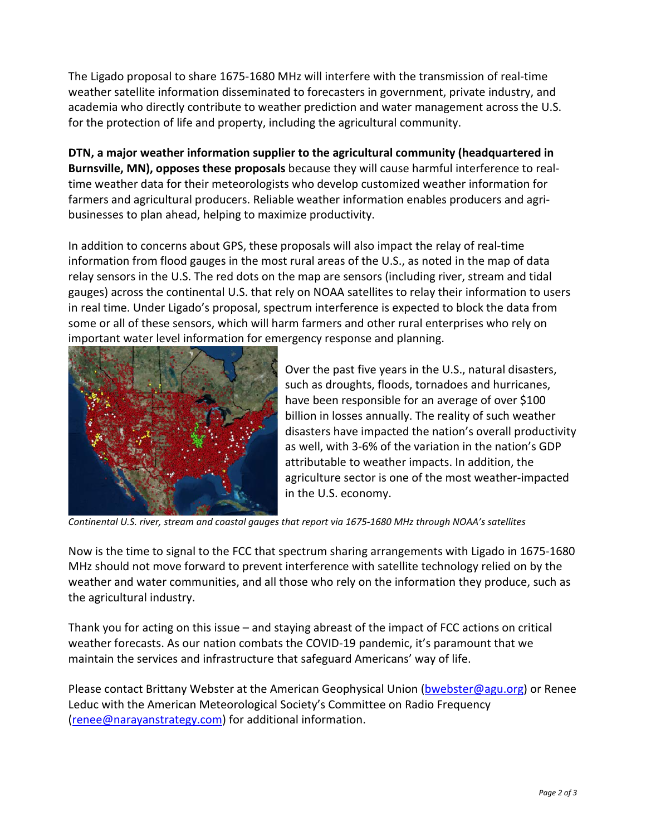The Ligado proposal to share 1675-1680 MHz will interfere with the transmission of real-time weather satellite information disseminated to forecasters in government, private industry, and academia who directly contribute to weather prediction and water management across the U.S. for the protection of life and property, including the agricultural community.

**DTN, a major weather information supplier to the agricultural community (headquartered in Burnsville, MN), opposes these proposals** because they will cause harmful interference to realtime weather data for their meteorologists who develop customized weather information for farmers and agricultural producers. Reliable weather information enables producers and agribusinesses to plan ahead, helping to maximize productivity.

In addition to concerns about GPS, these proposals will also impact the relay of real-time information from flood gauges in the most rural areas of the U.S., as noted in the map of data relay sensors in the U.S. The red dots on the map are sensors (including river, stream and tidal gauges) across the continental U.S. that rely on NOAA satellites to relay their information to users in real time. Under Ligado's proposal, spectrum interference is expected to block the data from some or all of these sensors, which will harm farmers and other rural enterprises who rely on important water level information for emergency response and planning.



Over the past five years in the U.S., natural disasters, such as droughts, floods, tornadoes and hurricanes, have been responsible for an average of over \$100 billion in losses annually. The reality of such weather disasters have impacted the nation's overall productivity as well, with 3-6% of the variation in the nation's GDP attributable to weather impacts. In addition, the agriculture sector is one of the most weather-impacted in the U.S. economy.

*Continental U.S. river, stream and coastal gauges that report via 1675-1680 MHz through NOAA's satellites*

Now is the time to signal to the FCC that spectrum sharing arrangements with Ligado in 1675-1680 MHz should not move forward to prevent interference with satellite technology relied on by the weather and water communities, and all those who rely on the information they produce, such as the agricultural industry.

Thank you for acting on this issue – and staying abreast of the impact of FCC actions on critical weather forecasts. As our nation combats the COVID-19 pandemic, it's paramount that we maintain the services and infrastructure that safeguard Americans' way of life.

Please contact Brittany Webster at the American Geophysical Union [\(bwebster@agu.org\)](mailto:bwebster@agu.org) or Renee Leduc with the American Meteorological Society's Committee on Radio Frequency [\(renee@narayanstrategy.com\)](mailto:renee@narayanstrategy.com) for additional information.